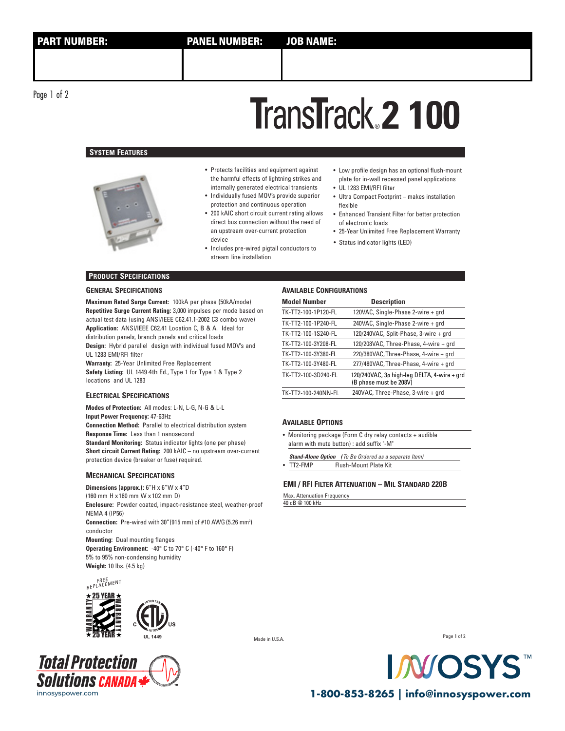# **2 100** ®

## **SYSTEM FEATURES**



- Protects facilities and equipment against the harmful effects of lightning strikes and internally generated electrical transients
- Individually fused MOV's provide superior protection and continuous operation
- 200 kAIC short circuit current rating allows direct bus connection without the need of an upstream over-current protection
- device Status indicator lights (LED) Includes pre-wired pigtail conductors to stream line installation
- Low profile design has an optional flush-mount plate for in-wall recessed panel applications
- UL 1283 EMI/RFI filter
- Ultra Compact Footprint makes installation flexible
- Enhanced Transient Filter for better protection of electronic loads
- 25-Year Unlimited Free Replacement Warranty
	-

## **PRODUCT SPECIFICATIONS**

#### **GENERAL SPECIFICATIONS**

**Maximum Rated Surge Current:** 100kA per phase (50kA/mode) **Repetitive Surge Current Rating:** 3,000 impulses per mode based on actual test data (using ANSI/IEEE C62.41.1-2002 C3 combo wave) **Application:** ANSI/IEEE C62.41 Location C, B & A. Ideal for distribution panels, branch panels and critical loads **Design:** Hybrid parallel design with individual fused MOV's and

UL 1283 EMI/RFI filter **Warranty:** 25-Year Unlimited Free Replacement

**Safety Listing:** UL 1449 4th Ed., Type 1 for Type 1 & Type 2 locations and UL 1283

#### **ELECTRICAL SPECIFICATIONS**

**Modes of Protection:** All modes: L-N, L-G, N-G & L-L **Input Power Frequency:** 47-63Hz **Connection Method:** Parallel to electrical distribution system **Response Time:** Less than 1 nanosecond **Standard Monitoring:** Status indicator lights (one per phase) **Short circuit Current Rating:** 200 kAIC – no upstream over-current protection device (breaker or fuse) required.

#### **MECHANICAL SPECIFICATIONS**

**Dimensions (approx.):** 6"H x 6"W x 4"D (160 mm H x 160 mm W x 102 mm D) **Enclosure:** Powder coated, impact-resistance steel, weather-proof NEMA 4 (IP56) **Connection:** Pre-wired with 30" (915 mm) of #10 AWG (5.26 mm<sup>2</sup>) conductor **Mounting:** Dual mounting flanges **Operating Environment:** -40° C to 70° C (-40° F to 160° F) 5% to 95% non-condensing humidity **Weight:** 10 lbs. (4.5 kg)







#### **AVAILABLE CONFIGURATIONS**

| <b>Model Number</b> | <b>Description</b>                                                    |
|---------------------|-----------------------------------------------------------------------|
| TK-TT2-100-1P120-FL | 120VAC, Single-Phase 2-wire + grd                                     |
| TK-TT2-100-1P240-FL | 240VAC, Single-Phase 2-wire + grd                                     |
| TK-TT2-100-1S240-FL | 120/240VAC, Split-Phase, 3-wire + grd                                 |
| TK-TT2-100-3Y208-FL | 120/208VAC, Three-Phase, 4-wire + grd                                 |
| TK-TT2-100-3Y380-FL | 220/380VAC, Three-Phase, 4-wire + grd                                 |
| TK-TT2-100-3Y480-FL | 277/480VAC, Three-Phase, 4-wire + grd                                 |
| TK-TT2-100-3D240-FL | 120/240VAC, 3ø high-leg DELTA, 4-wire + grd<br>(B phase must be 208V) |
| TK-TT2-100-240NN-FL | 240VAC, Three-Phase, 3-wire + grd                                     |

#### **AVAILABLE OPTIONS**

- Monitoring package (Form C dry relay contacts + audible alarm with mute button) : add suffix "-M"
- **Stand-Alone Option** *(*To Be Ordered as a separate Item) • TT2-FMP Flush-Mount Plate Kit

# **EMI / RFI FILTER ATTENUATION – MIL STANDARD 220B**

# Max. Attenuation Frequency

40 dB @ 100 kHz

Made in U.S.A.





innosyspower.com **1-800-853-8265 | info@innosyspower.com**